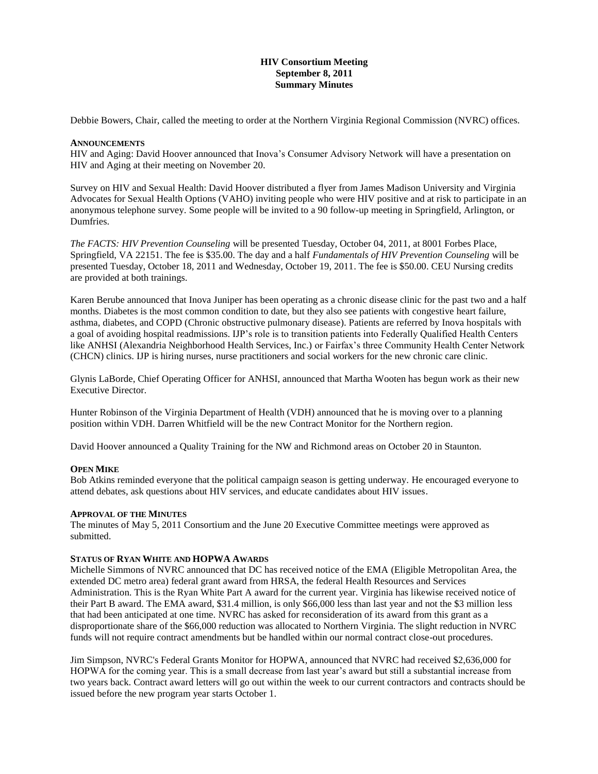### **HIV Consortium Meeting September 8, 2011 Summary Minutes**

Debbie Bowers, Chair, called the meeting to order at the Northern Virginia Regional Commission (NVRC) offices.

### **ANNOUNCEMENTS**

HIV and Aging: David Hoover announced that Inova's Consumer Advisory Network will have a presentation on HIV and Aging at their meeting on November 20.

Survey on HIV and Sexual Health: David Hoover distributed a flyer from James Madison University and Virginia Advocates for Sexual Health Options (VAHO) inviting people who were HIV positive and at risk to participate in an anonymous telephone survey. Some people will be invited to a 90 follow-up meeting in Springfield, Arlington, or Dumfries.

*The FACTS: HIV Prevention Counseling* will be presented Tuesday, October 04, 2011, at 8001 Forbes Place, Springfield, VA 22151. The fee is \$35.00. The day and a half *Fundamentals of HIV Prevention Counseling* will be presented Tuesday, October 18, 2011 and Wednesday, October 19, 2011. The fee is \$50.00. CEU Nursing credits are provided at both trainings.

Karen Berube announced that Inova Juniper has been operating as a chronic disease clinic for the past two and a half months. Diabetes is the most common condition to date, but they also see patients with congestive heart failure, asthma, diabetes, and COPD (Chronic obstructive pulmonary disease). Patients are referred by Inova hospitals with a goal of avoiding hospital readmissions. IJP's role is to transition patients into Federally Qualified Health Centers like ANHSI (Alexandria Neighborhood Health Services, Inc.) or Fairfax's three Community Health Center Network (CHCN) clinics. IJP is hiring nurses, nurse practitioners and social workers for the new chronic care clinic.

Glynis LaBorde, Chief Operating Officer for ANHSI, announced that Martha Wooten has begun work as their new Executive Director.

Hunter Robinson of the Virginia Department of Health (VDH) announced that he is moving over to a planning position within VDH. Darren Whitfield will be the new Contract Monitor for the Northern region.

David Hoover announced a Quality Training for the NW and Richmond areas on October 20 in Staunton.

## **OPEN MIKE**

Bob Atkins reminded everyone that the political campaign season is getting underway. He encouraged everyone to attend debates, ask questions about HIV services, and educate candidates about HIV issues.

### **APPROVAL OF THE MINUTES**

The minutes of May 5, 2011 Consortium and the June 20 Executive Committee meetings were approved as submitted.

### **STATUS OF RYAN WHITE AND HOPWA AWARDS**

Michelle Simmons of NVRC announced that DC has received notice of the EMA (Eligible Metropolitan Area, the extended DC metro area) federal grant award from HRSA, the federal Health Resources and Services Administration. This is the Ryan White Part A award for the current year. Virginia has likewise received notice of their Part B award. The EMA award, \$31.4 million, is only \$66,000 less than last year and not the \$3 million less that had been anticipated at one time. NVRC has asked for reconsideration of its award from this grant as a disproportionate share of the \$66,000 reduction was allocated to Northern Virginia. The slight reduction in NVRC funds will not require contract amendments but be handled within our normal contract close-out procedures.

Jim Simpson, NVRC's Federal Grants Monitor for HOPWA, announced that NVRC had received \$2,636,000 for HOPWA for the coming year. This is a small decrease from last year's award but still a substantial increase from two years back. Contract award letters will go out within the week to our current contractors and contracts should be issued before the new program year starts October 1.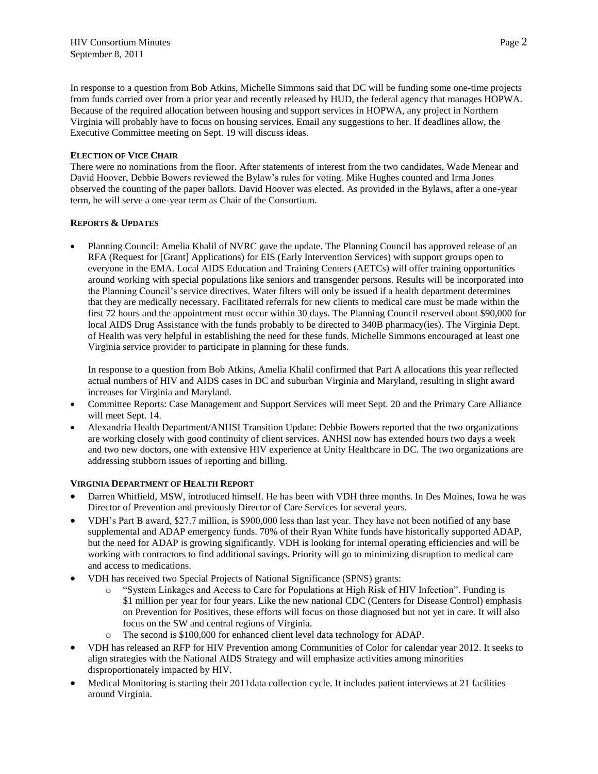In response to a question from Bob Atkins, Michelle Simmons said that DC will be funding some one-time projects from funds carried over from a prior year and recently released by HUD, the federal agency that manages HOPWA. Because of the required allocation between housing and support services in HOPWA, any project in Northern Virginia will probably have to focus on housing services. Email any suggestions to her. If deadlines allow, the Executive Committee meeting on Sept. 19 will discuss ideas.

# **ELECTION OF VICE CHAIR**

There were no nominations from the floor. After statements of interest from the two candidates, Wade Menear and David Hoover, Debbie Bowers reviewed the Bylaw's rules for voting. Mike Hughes counted and Irma Jones observed the counting of the paper ballots. David Hoover was elected. As provided in the Bylaws, after a one-year term, he will serve a one-year term as Chair of the Consortium.

# **REPORTS & UPDATES**

 Planning Council: Amelia Khalil of NVRC gave the update. The Planning Council has approved release of an RFA (Request for [Grant] Applications) for EIS (Early Intervention Services) with support groups open to everyone in the EMA. Local AIDS Education and Training Centers (AETCs) will offer training opportunities around working with special populations like seniors and transgender persons. Results will be incorporated into the Planning Council's service directives. Water filters will only be issued if a health department determines that they are medically necessary. Facilitated referrals for new clients to medical care must be made within the first 72 hours and the appointment must occur within 30 days. The Planning Council reserved about \$90,000 for local AIDS Drug Assistance with the funds probably to be directed to 340B pharmacy(ies). The Virginia Dept. of Health was very helpful in establishing the need for these funds. Michelle Simmons encouraged at least one Virginia service provider to participate in planning for these funds.

In response to a question from Bob Atkins, Amelia Khalil confirmed that Part A allocations this year reflected actual numbers of HIV and AIDS cases in DC and suburban Virginia and Maryland, resulting in slight award increases for Virginia and Maryland.

- Committee Reports: Case Management and Support Services will meet Sept. 20 and the Primary Care Alliance will meet Sept. 14.
- Alexandria Health Department/ANHSI Transition Update: Debbie Bowers reported that the two organizations are working closely with good continuity of client services. ANHSI now has extended hours two days a week and two new doctors, one with extensive HIV experience at Unity Healthcare in DC. The two organizations are addressing stubborn issues of reporting and billing.

## **VIRGINIA DEPARTMENT OF HEALTH REPORT**

- Darren Whitfield, MSW, introduced himself. He has been with VDH three months. In Des Moines, Iowa he was Director of Prevention and previously Director of Care Services for several years.
- VDH's Part B award, \$27.7 million, is \$900,000 less than last year. They have not been notified of any base supplemental and ADAP emergency funds. 70% of their Ryan White funds have historically supported ADAP, but the need for ADAP is growing significantly. VDH is looking for internal operating efficiencies and will be working with contractors to find additional savings. Priority will go to minimizing disruption to medical care and access to medications.
- VDH has received two Special Projects of National Significance (SPNS) grants:
	- o "System Linkages and Access to Care for Populations at High Risk of HIV Infection". Funding is \$1 million per year for four years. Like the new national CDC (Centers for Disease Control) emphasis on Prevention for Positives, these efforts will focus on those diagnosed but not yet in care. It will also focus on the SW and central regions of Virginia.
	- o The second is \$100,000 for enhanced client level data technology for ADAP.
- VDH has released an RFP for HIV Prevention among Communities of Color for calendar year 2012. It seeks to align strategies with the National AIDS Strategy and will emphasize activities among minorities disproportionately impacted by HIV.
- Medical Monitoring is starting their 2011data collection cycle. It includes patient interviews at 21 facilities around Virginia.